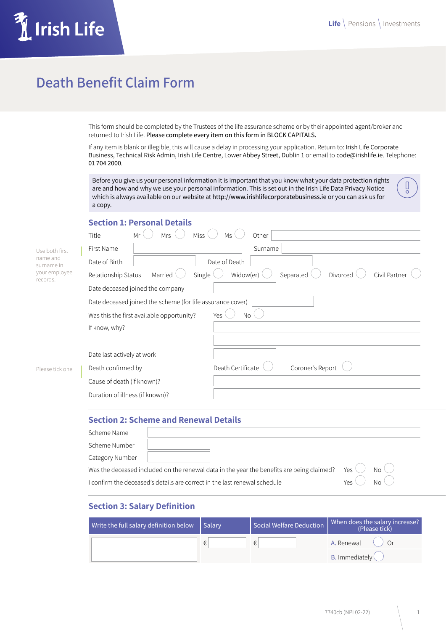$\begin{array}{c} \square \end{array}$ 



# **Death Benefit Claim Form**

This form should be completed by the Trustees of the life assurance scheme or by their appointed agent/broker and returned to Irish Life. Please complete every item on this form in BLOCK CAPITALS.

If any item is blank or illegible, this will cause a delay in processing your application. Return to: Irish Life Corporate Business, Technical Risk Admin, Irish Life Centre, Lower Abbey Street, Dublin 1 or email to code@irishlife.ie. Telephone: 01 704 2000.

Before you give us your personal information it is important that you know what your data protection rights are and how and why we use your personal information. This is set out in the Irish Life Data Privacy Notice which is always available on our website at http://www.irishlifecorporatebusiness.ie or you can ask us for a copy.

#### **Section 1: Personal Details**

|                           | Title                           | Mr<br><b>Mrs</b>                                           | <b>Miss</b> | Ms                | Other   |                  |          |               |
|---------------------------|---------------------------------|------------------------------------------------------------|-------------|-------------------|---------|------------------|----------|---------------|
| Use both first            | First Name                      |                                                            |             |                   | Surname |                  |          |               |
| name and<br>surname in    | Date of Birth                   |                                                            |             | Date of Death     |         |                  |          |               |
| your employee<br>records. | Relationship Status             | Married                                                    | Single      | Widow(er)         |         | Separated        | Divorced | Civil Partner |
|                           |                                 | Date deceased joined the company                           |             |                   |         |                  |          |               |
|                           |                                 | Date deceased joined the scheme (for life assurance cover) |             |                   |         |                  |          |               |
|                           |                                 | Was this the first available opportunity?                  |             | Yes<br><b>No</b>  |         |                  |          |               |
|                           | If know, why?                   |                                                            |             |                   |         |                  |          |               |
|                           |                                 |                                                            |             |                   |         |                  |          |               |
|                           | Date last actively at work      |                                                            |             |                   |         |                  |          |               |
| Please tick one           | Death confirmed by              |                                                            |             | Death Certificate |         | Coroner's Report |          |               |
|                           | Cause of death (if known)?      |                                                            |             |                   |         |                  |          |               |
|                           | Duration of illness (if known)? |                                                            |             |                   |         |                  |          |               |
|                           |                                 |                                                            |             |                   |         |                  |          |               |

# **Section 2: Scheme and Renewal Details**

| Scheme Name                                                                                                            |  |  |  |  |  |  |
|------------------------------------------------------------------------------------------------------------------------|--|--|--|--|--|--|
| Scheme Number                                                                                                          |  |  |  |  |  |  |
| Category Number                                                                                                        |  |  |  |  |  |  |
| Was the deceased included on the renewal data in the year the benefits are being claimed? Yes $\bigcirc$ No $\bigcirc$ |  |  |  |  |  |  |
| $Y_{PS}$<br>$N \cap V$<br>I confirm the deceased's details are correct in the last renewal schedule                    |  |  |  |  |  |  |

# **Section 3: Salary Definition**

| Write the full salary definition below $\vert$ Salary |   | Social Welfare Deduction | When does the salary increase?  <br>  elease tick |  |  |
|-------------------------------------------------------|---|--------------------------|---------------------------------------------------|--|--|
|                                                       | € | €                        | A. Renewal<br>$\bigcap$ r                         |  |  |
|                                                       |   |                          | <b>B.</b> Immediately $\binom{}{}$                |  |  |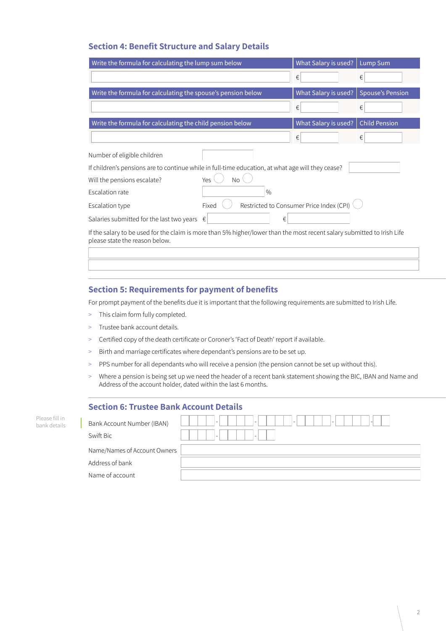### **Section 4: Benefit Structure and Salary Details**

| Write the formula for calculating the lump sum below                                                                                                      | What Salary is used? |   | <b>Lump Sum</b>         |   |  |  |
|-----------------------------------------------------------------------------------------------------------------------------------------------------------|----------------------|---|-------------------------|---|--|--|
|                                                                                                                                                           |                      | € |                         | € |  |  |
| Write the formula for calculating the spouse's pension below                                                                                              | What Salary is used? |   | <b>Spouse's Pension</b> |   |  |  |
|                                                                                                                                                           |                      | € |                         | € |  |  |
| Write the formula for calculating the child pension below                                                                                                 | What Salary is used? |   | <b>Child Pension</b>    |   |  |  |
|                                                                                                                                                           |                      | € |                         | € |  |  |
| Number of eligible children                                                                                                                               |                      |   |                         |   |  |  |
| If children's pensions are to continue while in full-time education, at what age will they cease?                                                         |                      |   |                         |   |  |  |
| Will the pensions escalate?                                                                                                                               |                      |   |                         |   |  |  |
| Escalation rate                                                                                                                                           |                      |   |                         |   |  |  |
| Restricted to Consumer Price Index (CPI)<br>Fixed<br>Escalation type                                                                                      |                      |   |                         |   |  |  |
| €<br>Salaries submitted for the last two years $\epsilon$                                                                                                 |                      |   |                         |   |  |  |
| If the salary to be used for the claim is more than 5% higher/lower than the most recent salary submitted to Irish Life<br>please state the reason below. |                      |   |                         |   |  |  |
|                                                                                                                                                           |                      |   |                         |   |  |  |

#### **Section 5: Requirements for payment of benefits**

For prompt payment of the benefits due it is important that the following requirements are submitted to Irish Life.

- > This claim form fully completed.
- > Trustee bank account details.
- > Certified copy of the death certificate or Coroner's 'Fact of Death' report if available.
- > Birth and marriage certificates where dependant's pensions are to be set up.
- > PPS number for all dependants who will receive a pension (the pension cannot be set up without this).
- > Where a pension is being set up we need the header of a recent bank statement showing the BIC, IBAN and Name and Address of the account holder, dated within the last 6 months.

| <b>Section 6: Trustee Bank Account Details</b> |  |                                         |                                                                                         |  |  |  |
|------------------------------------------------|--|-----------------------------------------|-----------------------------------------------------------------------------------------|--|--|--|
| ll in<br>tails                                 |  | Bank Account Number (IBAN)<br>Swift Bic | $\overline{\phantom{a}}$<br>٠<br>$\sim$<br>$\overline{\phantom{a}}$<br>$\sim$<br>$\sim$ |  |  |  |
|                                                |  | Name/Names of Account Owners            |                                                                                         |  |  |  |
|                                                |  | Address of bank                         |                                                                                         |  |  |  |
|                                                |  | Name of account                         |                                                                                         |  |  |  |

Please fi bank de